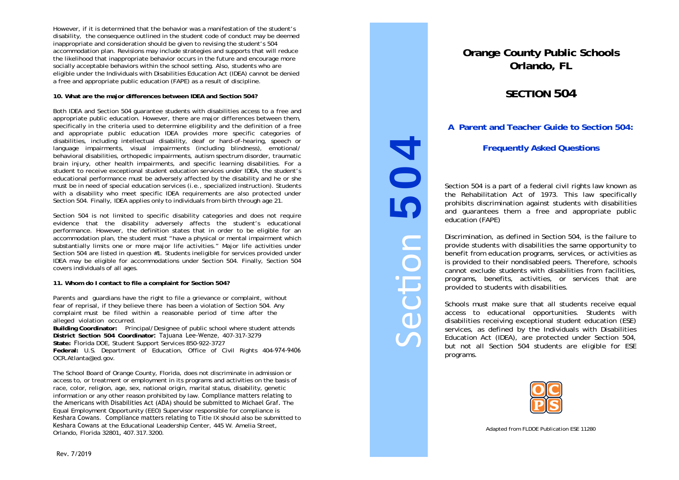However, if it is determined that the behavior was a manifestation of the student's disability, the consequence outlined in the student code of conduct may be deemed inappropriate and consideration should be given to revising the student's 504 accommodation plan. Revisions may include strategies and supports that will reduce the likelihood that inappropriate behavior occurs in the future and encourage more socially acceptable behaviors within the school setting. Also, students who are eligible under the Individuals with Disabilities Education Act (IDEA) cannot be denied a free and appropriate public education (FAPE) as a result of discipline.

# **10. What are the major differences between IDEA and Section 504?**

Both IDEA and Section 504 guarantee students with disabilities access to a free and appropriate public education. However, there are major differences between them, specifically in the criteria used to determine eligibility and the definition of a free and appropriate public education IDEA provides more specific categories of disabilities, including intellectual disability, deaf or hard-of-hearing, speech or language impairments, visual impairments (including blindness), emotional/ behavioral disabilities, orthopedic impairments, autism spectrum disorder, traumatic brain injury, other health impairments, and specific learning disabilities. For a student to receive exceptional student education services under IDEA, the student's educational performance must be adversely affected by the disability and he or she must be in need of special education services (i.e., specialized instruction). Students with a disability who meet specific IDEA requirements are also protected under Section 504. Finally, IDEA applies only to individuals from birth through age 21.

Section 504 is not limited to specific disability categories and does not require evidence that the disability adversely affects the student's educational performance. However, the definition states that in order to be eligible for an accommodation plan, the student must "have a physical or mental impairment which substantially limits one or more major life activities." Major life activities under Section 504 are listed in question #1. Students ineligible for services provided under IDEA may be eligible for accommodations under Section 504. Finally, Section 504 covers individuals of all ages.

# **11. Whom do I contact to file a complaint for Section 504?**

Parents and guardians have the right to file a grievance or complaint, without fear of reprisal, if they believe there has been a violation of Section 504. Any complaint must be filed within a reasonable period of time after the alleged violation occurred.

**Building Coordinator:** Principal/Designee of public school where student attends **District Section 504 Coordinator:** Tajuana Lee-Wenze, 407-317-3279**State:** <sup>F</sup>lorida DOE, Student Support Services 850-922-3727

**Federal:** U.S. Department of Education, Office of Civil Rights 404-974-9406OCR.Atlanta@ed.gov.

The School Board of Orange County, Florida, does not discriminate in admission or access to, or treatment or employment in its programs and activities on the basis of race, color, religion, age, sex, national origin, marital status, disability, genetic information or any other reason prohibited by law. Compliance matters relating to the Americans with Disabilities Act (ADA) should be submitted to Michael Graf. The Equal Employment Opportunity (EEO) Supervisor responsible for compliance is Keshara Cowans. Compliance matters relating to Title IX should also be submitted to Keshara Cowans at the Educational Leadership Center, 445 W. Amelia Street, Orlando, Florida 32801, 407.317.3200.

# **Orange County Public Schools Orlando, FL**

# **SECTION 504**

**A Parent and Teacher Guide to Section 504:** 

# **Frequently Asked Questions**

Section 504 is a part of a federal civil rights law known as the Rehabilitation Act of 1973. This law specifically prohibits discrimination against students with disabilities and guarantees them a free and appropriate public education (FAPE)

Discrimination, as defined in Section 504, is the failure to provide students with disabilities the same opportunity to benefit from education programs, services, or activities as is provided to their nondisabled peers. Therefore, schools cannot exclude students with disabilities from facilities, programs, benefits, activities, or services that are provided to students with disabilities.

Section 504

ecti

**DO** 

Schools must make sure that all students receive equal access to educational opportunities. Students with disabilities receiving exceptional student education (ESE) services, as defined by the Individuals with Disabilities Education Act (IDEA), are protected under Section 504, but not all Section 504 students are eligible for ESE programs.



Adapted from FLDOE Publication ESE 11280